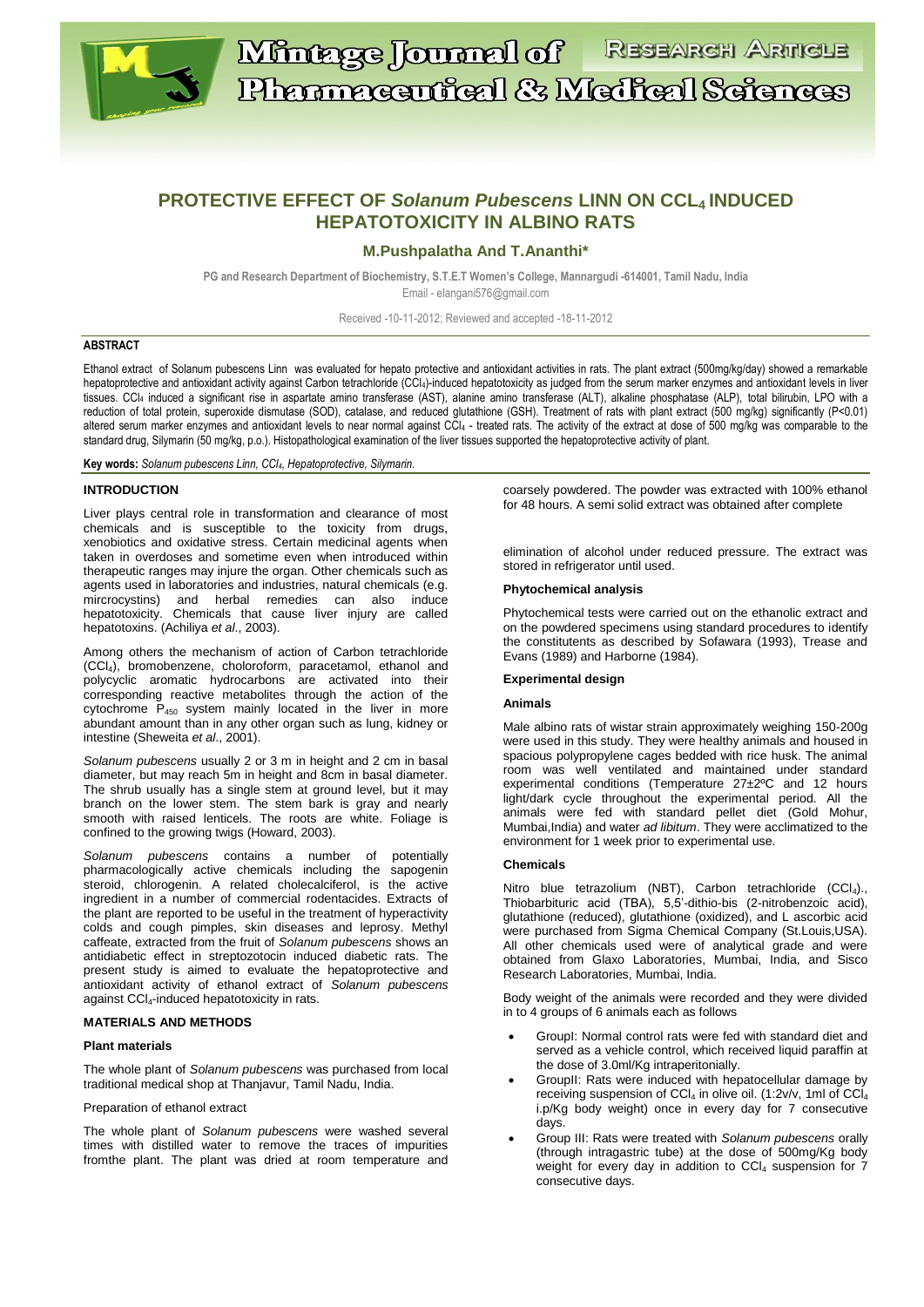

# **PROTECTIVE EFFECT OF** *Solanum Pubescens* **LINN ON CCL4 INDUCED HEPATOTOXICITY IN ALBINO RATS**

## **M.Pushpalatha And T.Ananthi\***

**PG and Research Department of Biochemistry, S.T.E.T Women's College, Mannargudi -614001, Tamil Nadu, India** Email - [elangani576@gmail.com](mailto:elangani576@gmail.com)

Received -10-11-2012; Reviewed and accepted -18-11-2012

### **ABSTRACT**

Ethanol extract of Solanum pubescens Linn was evaluated for hepato protective and antioxidant activities in rats. The plant extract (500mg/kg/day) showed a remarkable hepatoprotective and antioxidant activity against Carbon tetrachloride (CCl4)-induced hepatotoxicity as judged from the serum marker enzymes and antioxidant levels in liver tissues. CCl<sup>4</sup> induced a significant rise in aspartate amino transferase (AST), alanine amino transferase (ALT), alkaline phosphatase (ALP), total bilirubin, LPO with a reduction of total protein, superoxide dismutase (SOD), catalase, and reduced glutathione (GSH). Treatment of rats with plant extract (500 mg/kg) significantly (P<0.01) altered serum marker enzymes and antioxidant levels to near normal against CCl<sup>4</sup> - treated rats. The activity of the extract at dose of 500 mg/kg was comparable to the standard drug, Silymarin (50 mg/kg, p.o.). Histopathological examination of the liver tissues supported the hepatoprotective activity of plant.

**Key words:** *Solanum pubescens Linn, CCl4, Hepatoprotective, Silymarin.*

### **INTRODUCTION**

Liver plays central role in transformation and clearance of most chemicals and is susceptible to the toxicity from drugs, xenobiotics and oxidative stress. Certain medicinal agents when taken in overdoses and sometime even when introduced within therapeutic ranges may injure the organ. Other chemicals such as agents used in laboratories and industries, natural chemicals (e.g. mircrocystins) and herbal remedies can also induce hepatotoxicity. Chemicals that cause liver injury are called hepatotoxins. (Achiliya *et al*., 2003).

Among others the mechanism of action of Carbon tetrachloride (CCl4), bromobenzene, choloroform, paracetamol, ethanol and polycyclic aromatic hydrocarbons are activated into their corresponding reactive metabolites through the action of the cytochrome  $P_{450}$  system mainly located in the liver in more abundant amount than in any other organ such as lung, kidney or intestine (Sheweita *et al*., 2001).

*Solanum pubescens* usually 2 or 3 m in height and 2 cm in basal diameter, but may reach 5m in height and 8cm in basal diameter. The shrub usually has a single stem at ground level, but it may branch on the lower stem. The stem bark is gray and nearly smooth with raised lenticels. The roots are white. Foliage is confined to the growing twigs (Howard, 2003).

*Solanum pubescens* contains a number of potentially pharmacologically active chemicals including the sapogenin steroid, chlorogenin. A related cholecalciferol, is the active ingredient in a number of commercial rodentacides. Extracts of the plant are reported to be useful in the treatment of hyperactivity colds and cough pimples, skin diseases and leprosy. Methyl caffeate, extracted from the fruit of *Solanum pubescens* shows an antidiabetic effect in streptozotocin induced diabetic rats. The present study is aimed to evaluate the hepatoprotective and antioxidant activity of ethanol extract of *Solanum pubescens* against CCI4-induced hepatotoxicity in rats.

### **MATERIALS AND METHODS**

#### **Plant materials**

The whole plant of *Solanum pubescens* was purchased from local traditional medical shop at Thanjavur, Tamil Nadu, India.

#### Preparation of ethanol extract

The whole plant of *Solanum pubescens* were washed several times with distilled water to remove the traces of impurities fromthe plant. The plant was dried at room temperature and

coarsely powdered. The powder was extracted with 100% ethanol for 48 hours. A semi solid extract was obtained after complete

elimination of alcohol under reduced pressure. The extract was stored in refrigerator until used.

### **Phytochemical analysis**

Phytochemical tests were carried out on the ethanolic extract and on the powdered specimens using standard procedures to identify the constitutents as described by Sofawara (1993), Trease and Evans (1989) and Harborne (1984).

#### **Experimental design**

#### **Animals**

Male albino rats of wistar strain approximately weighing 150-200g were used in this study. They were healthy animals and housed in spacious polypropylene cages bedded with rice husk. The animal room was well ventilated and maintained under standard experimental conditions (Temperature 27±2ºC and 12 hours light/dark cycle throughout the experimental period. All the animals were fed with standard pellet diet (Gold Mohur, Mumbai,India) and water *ad libitum*. They were acclimatized to the environment for 1 week prior to experimental use.

#### **Chemicals**

Nitro blue tetrazolium (NBT), Carbon tetrachloride (CCl<sub>4</sub>)., Thiobarbituric acid (TBA), 5,5'-dithio-bis (2-nitrobenzoic acid), glutathione (reduced), glutathione (oxidized), and L ascorbic acid were purchased from Sigma Chemical Company (St.Louis,USA). All other chemicals used were of analytical grade and were obtained from Glaxo Laboratories, Mumbai, India, and Sisco Research Laboratories, Mumbai, India.

Body weight of the animals were recorded and they were divided in to 4 groups of 6 animals each as follows

- GroupI: Normal control rats were fed with standard diet and served as a vehicle control, which received liquid paraffin at the dose of 3.0ml/Kg intraperitonially.
- GroupII: Rats were induced with hepatocellular damage by receiving suspension of CCl<sub>4</sub> in olive oil. (1:2v/v, 1ml of CCl<sub>4</sub> i.p/Kg body weight) once in every day for 7 consecutive days.
- Group III: Rats were treated with *Solanum pubescens* orally (through intragastric tube) at the dose of 500mg/Kg body weight for every day in addition to  $CCI<sub>4</sub>$  suspension for  $7$ consecutive days.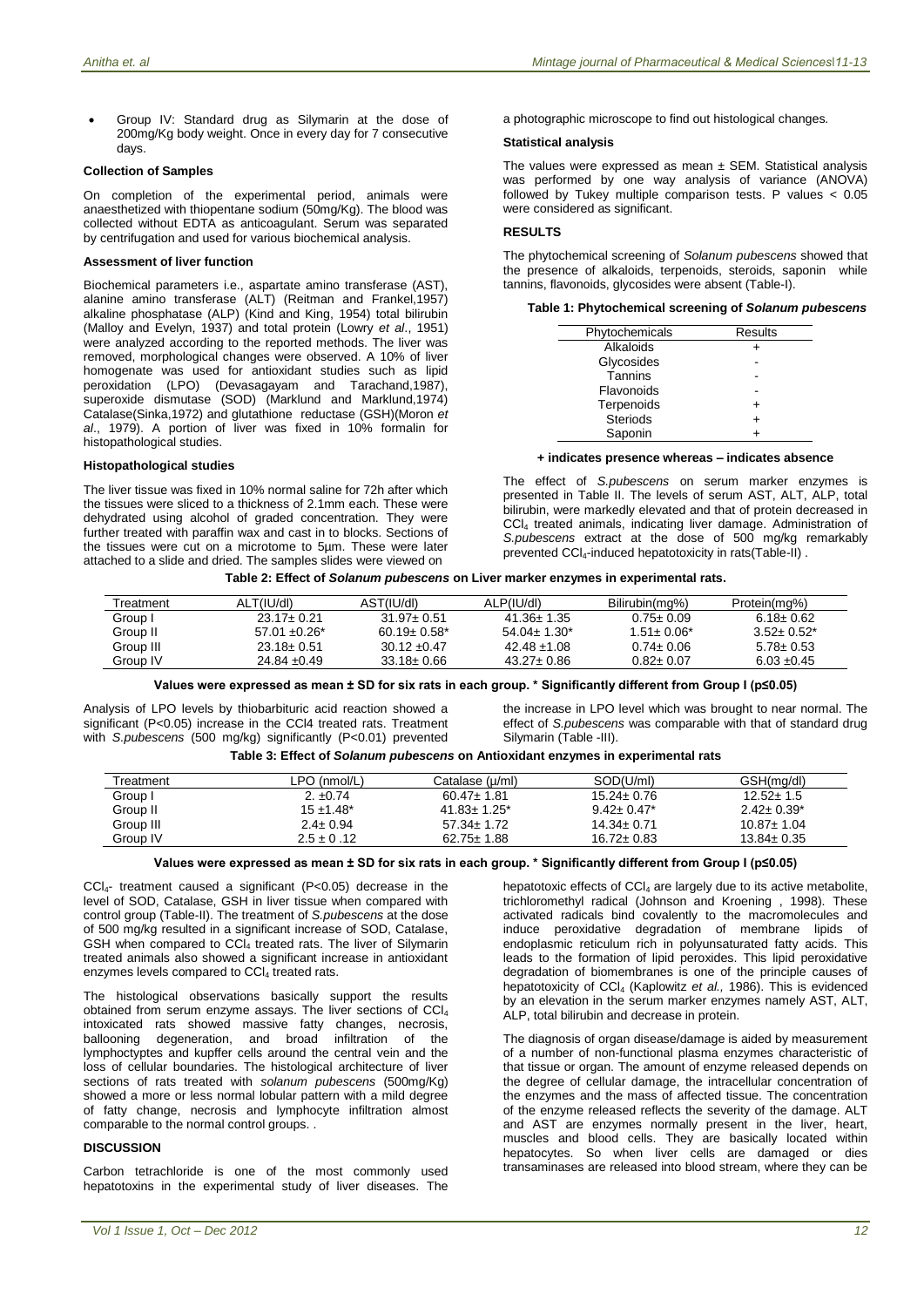Group IV: Standard drug as Silymarin at the dose of 200mg/Kg body weight. Once in every day for 7 consecutive days.

### **Collection of Samples**

On completion of the experimental period, animals were anaesthetized with thiopentane sodium (50mg/Kg). The blood was collected without EDTA as anticoagulant. Serum was separated by centrifugation and used for various biochemical analysis.

### **Assessment of liver function**

Biochemical parameters i.e., aspartate amino transferase (AST), alanine amino transferase (ALT) (Reitman and Frankel,1957) alkaline phosphatase (ALP) (Kind and King, 1954) total bilirubin (Malloy and Evelyn, 1937) and total protein (Lowry *et al*., 1951) were analyzed according to the reported methods. The liver was removed, morphological changes were observed. A 10% of liver homogenate was used for antioxidant studies such as lipid peroxidation (LPO) (Devasagayam and Tarachand,1987), superoxide dismutase (SOD) (Marklund and Marklund,1974) Catalase(Sinka,1972) and glutathione reductase (GSH)(Moron *et al*., 1979). A portion of liver was fixed in 10% formalin for histopathological studies.

### **Histopathological studies**

The liver tissue was fixed in 10% normal saline for 72h after which the tissues were sliced to a thickness of 2.1mm each. These were dehydrated using alcohol of graded concentration. They were further treated with paraffin wax and cast in to blocks. Sections of the tissues were cut on a microtome to 5µm. These were later attached to a slide and dried. The samples slides were viewed on

a photographic microscope to find out histological changes*.*

### **Statistical analysis**

The values were expressed as mean  $\pm$  SEM. Statistical analysis was performed by one way analysis of variance (ANOVA) followed by Tukey multiple comparison tests. P values < 0.05 were considered as significant.

### **RESULTS**

The phytochemical screening of *Solanum pubescens* showed that the presence of alkaloids, terpenoids, steroids, saponin while tannins, flavonoids, glycosides were absent (Table-I).

| Table 1: Phytochemical screening of Solanum pubescens |  |  |  |
|-------------------------------------------------------|--|--|--|
|-------------------------------------------------------|--|--|--|

| Phytochemicals  | Results |
|-----------------|---------|
| Alkaloids       |         |
| Glycosides      |         |
| Tannins         |         |
| Flavonoids      |         |
| Terpenoids      |         |
| <b>Steriods</b> | +       |
| Saponin         |         |
|                 |         |

### **+ indicates presence whereas – indicates absence**

The effect of *S.pubescens* on serum marker enzymes is presented in Table II. The levels of serum AST, ALT, ALP, total bilirubin, were markedly elevated and that of protein decreased in CCl<sup>4</sup> treated animals, indicating liver damage. Administration of *S.pubescens* extract at the dose of 500 mg/kg remarkably prevented CCl4-induced hepatotoxicity in rats(Table-II) .

#### **Table 2: Effect of** *Solanum pubescens* **on Liver marker enzymes in experimental rats.**

| Treatment | ALT(IU/dl)         | AST(IU/dl)                    | ALP(IU/dl)         | Bilirubin(mg%)    | Protein(mg%)    |
|-----------|--------------------|-------------------------------|--------------------|-------------------|-----------------|
| Group I   | $23.17 + 0.21$     | $31.97 \pm 0.51$              | $41.36 \pm 1.35$   | $0.75 \pm 0.09$   | $6.18 + 0.62$   |
| Group II  | $57.01 \pm 0.26^*$ | $60.19 \pm 0.58$ <sup>*</sup> | $54.04 \pm 1.30^*$ | $1.51 \pm 0.06^*$ | $3.52 + 0.52^*$ |
| Group III | $23.18 \pm 0.51$   | $30.12 \pm 0.47$              | $42.48 + 1.08$     | $0.74 \pm 0.06$   | $5.78 \pm 0.53$ |
| Group IV  | $24.84 \pm 0.49$   | $33.18 \pm 0.66$              | $43.27 \pm 0.86$   | $0.82 \pm 0.07$   | $6.03 + 0.45$   |

**Values were expressed as mean ± SD for six rats in each group. \* Significantly different from Group I (p≤0.05)**

Analysis of LPO levels by thiobarbituric acid reaction showed a significant (P<0.05) increase in the CCl4 treated rats. Treatment with *S.pubescens* (500 mg/kg) significantly (P<0.01) prevented

the increase in LPO level which was brought to near normal. The effect of *S.pubescens* was comparable with that of standard drug Silymarin (Table -III).

### **Table 3: Effect of** *Solanum pubescens* **on Antioxidant enzymes in experimental rats**

| Treatment | LPO (nmol/L)   | Catalase (µ/ml)    | SOD(U/ml)         | GSH(mg/dl)        |
|-----------|----------------|--------------------|-------------------|-------------------|
| Group I   | 2. $\pm 0.74$  | $60.47 \pm 1.81$   | $15.24 \pm 0.76$  | $12.52 \pm 1.5$   |
| Group II  | $15 + 1.48^*$  | $41.83 \pm 1.25^*$ | $9.42 \pm 0.47^*$ | $2.42 \pm 0.39^*$ |
| Group III | $2.4 \pm 0.94$ | $57.34 \pm 1.72$   | $14.34 \pm 0.71$  | $10.87 \pm 1.04$  |
| Group IV  | $2.5 \pm 0.12$ | $62.75 \pm 1.88$   | $16.72 \pm 0.83$  | $13.84 \pm 0.35$  |

### **Values were expressed as mean ± SD for six rats in each group. \* Significantly different from Group I (p≤0.05)**

CCl4- treatment caused a significant (P<0.05) decrease in the level of SOD, Catalase, GSH in liver tissue when compared with control group (Table-II). The treatment of *S.pubescens* at the dose of 500 mg/kg resulted in a significant increase of SOD, Catalase, GSH when compared to CCI<sub>4</sub> treated rats. The liver of Silymarin treated animals also showed a significant increase in antioxidant enzymes levels compared to  $CCl<sub>4</sub>$  treated rats.

The histological observations basically support the results obtained from serum enzyme assays. The liver sections of CCl<sup>4</sup> intoxicated rats showed massive fatty changes, necrosis, ballooning degeneration, and broad infiltration of the and broad infiltration lymphoctyptes and kupffer cells around the central vein and the loss of cellular boundaries. The histological architecture of liver sections of rats treated with *solanum pubescens* (500mg/Kg) showed a more or less normal lobular pattern with a mild degree of fatty change, necrosis and lymphocyte infiltration almost comparable to the normal control groups. .

# **DISCUSSION**

Carbon tetrachloride is one of the most commonly used hepatotoxins in the experimental study of liver diseases. The hepatotoxic effects of CCl<sub>4</sub> are largely due to its active metabolite, trichloromethyl radical (Johnson and Kroening , 1998). These activated radicals bind covalently to the macromolecules and induce peroxidative degradation of membrane lipids of endoplasmic reticulum rich in polyunsaturated fatty acids. This leads to the formation of lipid peroxides. This lipid peroxidative degradation of biomembranes is one of the principle causes of hepatotoxicity of CCl<sub>4</sub> (Kaplowitz et al., 1986). This is evidenced by an elevation in the serum marker enzymes namely AST, ALT, ALP, total bilirubin and decrease in protein.

The diagnosis of organ disease/damage is aided by measurement of a number of non-functional plasma enzymes characteristic of that tissue or organ. The amount of enzyme released depends on the degree of cellular damage, the intracellular concentration of the enzymes and the mass of affected tissue. The concentration of the enzyme released reflects the severity of the damage. ALT and AST are enzymes normally present in the liver, heart, muscles and blood cells. They are basically located within hepatocytes. So when liver cells are damaged or dies transaminases are released into blood stream, where they can be